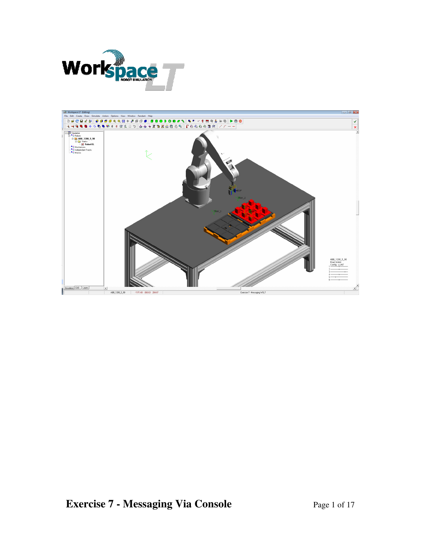

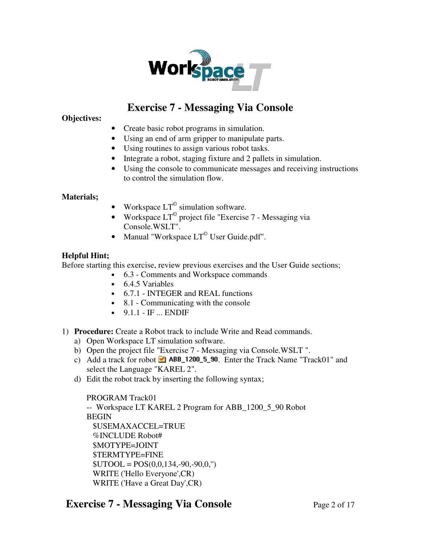

# **Exercise 7 - Messaging Via Console**

**Objectives:** 

- Create basic robot programs in simulation.
- Using an end of arm gripper to manipulate parts.
- Using routines to assign various robot tasks.
- Integrate a robot, staging fixture and 2 pallets in simulation.
- Using the console to communicate messages and receiving instructions to control the simulation flow.

### **Materials;**

- Workspace  $LT^{\circ}$  simulation software.
- Workspace  $LT^{\degree}$  project file "Exercise 7 Messaging via Console.WSLT".
- Manual "Workspace  $LT^{\circ}$  User Guide.pdf".

### **Helpful Hint;**

Before starting this exercise, review previous exercises and the User Guide sections;

- 6.3 Comments and Workspace commands
- 6.4.5 Variables
- 6.7.1 INTEGER and REAL functions
- 8.1 Communicating with the console
- $\bullet$  9.1.1 IF ... ENDIF
- 1) **Procedure:** Create a Robot track to include Write and Read commands.
	- a) Open Workspace LT simulation software.
	- b) Open the project file "Exercise 7 Messaging via Console.WSLT ".
	- c) Add a track for robot  $\blacksquare$  ABB\_1200\_5\_90. Enter the Track Name "Track01" and select the Language "KAREL 2".
	- d) Edit the robot track by inserting the following syntax;

PROGRAM Track01 -- Workspace LT KAREL 2 Program for ABB\_1200\_5\_90 Robot BEGIN \$USEMAXACCEL=TRUE %INCLUDE Robot# \$MOTYPE=JOINT \$TERMTYPE=FINE  $$UTOOL = POS(0,0,134,-90,-90,0,")$  WRITE ('Hello Everyone',CR) WRITE ('Have a Great Day',CR)

## **Exercise 7 - Messaging Via Console** Page 2 of 17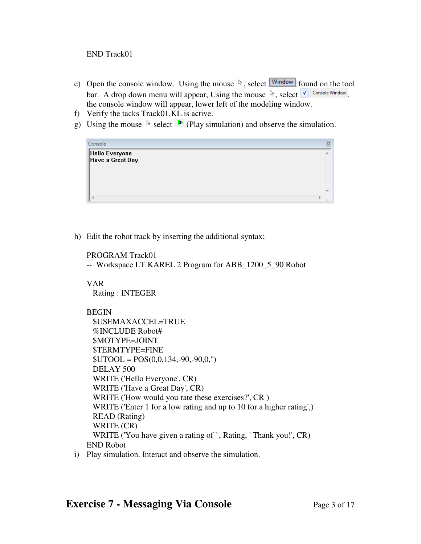### END Track01

- e) Open the console window. Using the mouse  $\sqrt[k]{\mathbb{R}}$ , select  $\boxed{\mathsf{Window}}$  found on the tool bar. A drop down menu will appear, Using the mouse  $\sqrt[k]{\frac{1}{n}}$  Console Window. the console window will appear, lower left of the modeling window.
- f) Verify the tacks Track01.KL is active.
- g) Using the mouse  $\&$  select  $\triangleright$  (Play simulation) and observe the simulation.

| Console                            | 図            |
|------------------------------------|--------------|
| Hello Everyone<br>Have a Great Day |              |
|                                    |              |
|                                    | 4.4<br>1.1.1 |

h) Edit the robot track by inserting the additional syntax;

PROGRAM Track01

-- Workspace LT KAREL 2 Program for ABB\_1200\_5\_90 Robot

VAR Rating : INTEGER

### **BEGIN**

 \$USEMAXACCEL=TRUE %INCLUDE Robot# \$MOTYPE=JOINT \$TERMTYPE=FINE  $$UTOOL = POS(0,0,134,-90,-90,0,")$  DELAY 500 WRITE ('Hello Everyone', CR) WRITE ('Have a Great Day', CR) WRITE ('How would you rate these exercises?', CR ) WRITE ('Enter 1 for a low rating and up to 10 for a higher rating',) READ (Rating) WRITE (CR) WRITE ('You have given a rating of ' , Rating, ' Thank you!', CR) END Robot i) Play simulation. Interact and observe the simulation.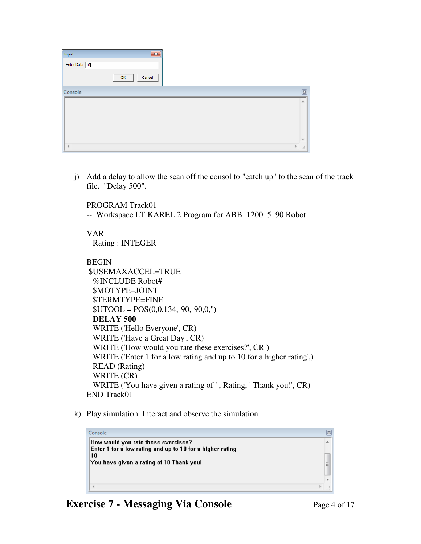| $\mathbf{x}$<br>Input |                 |
|-----------------------|-----------------|
| Enter Data 10         |                 |
| Cancel<br>OK          |                 |
| Console               | $\boxed{\Xi}$   |
|                       | A.              |
|                       |                 |
|                       |                 |
|                       |                 |
| $\blacktriangleleft$  | þ.<br>$\vec{H}$ |

j) Add a delay to allow the scan off the consol to "catch up" to the scan of the track file. "Delay 500".

PROGRAM Track01

-- Workspace LT KAREL 2 Program for ABB\_1200\_5\_90 Robot

### VAR

Rating : INTEGER

### BEGIN

| \$USEMAXACCEL=TRUE                                                   |
|----------------------------------------------------------------------|
| <b>%INCLUDE Robot#</b>                                               |
| \$MOTYPE=JOINT                                                       |
| <b><i>STERMTYPE=FINE</i></b>                                         |
| $$UTOOL = POS(0,0,134,-90,-90,0,")$                                  |
| DELAY 500                                                            |
| WRITE ('Hello Everyone', CR)                                         |
| WRITE ('Have a Great Day', CR)                                       |
| WRITE ('How would you rate these exercises?', CR)                    |
| WRITE ('Enter 1 for a low rating and up to 10 for a higher rating',) |
| <b>READ</b> (Rating)                                                 |
| WRITE (CR)                                                           |
| WRITE ('You have given a rating of ', Rating, 'Thank you!', CR)      |
| <b>END Track01</b>                                                   |

k) Play simulation. Interact and observe the simulation.

| Console                                                          |   |
|------------------------------------------------------------------|---|
| How would you rate these exercises?                              |   |
| Enter 1 for a low rating and up to 10 for a higher rating<br> 10 |   |
| You have given a rating of 10 Thank you!                         | Ξ |
|                                                                  |   |
|                                                                  |   |
|                                                                  |   |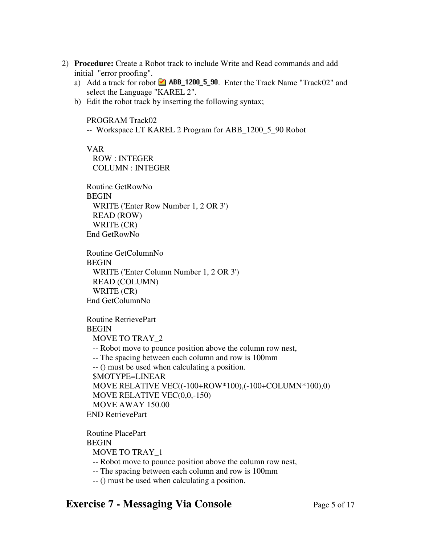- 2) **Procedure:** Create a Robot track to include Write and Read commands and add initial "error proofing".
	- a) Add a track for robot  $\blacksquare$  ABB\_1200\_5\_90. Enter the Track Name "Track02" and select the Language "KAREL 2".
	- b) Edit the robot track by inserting the following syntax;

PROGRAM Track02

-- Workspace LT KAREL 2 Program for ABB\_1200\_5\_90 Robot

VAR

 ROW : INTEGER COLUMN : INTEGER

Routine GetRowNo **BEGIN**  WRITE ('Enter Row Number 1, 2 OR 3') READ (ROW) WRITE (CR) End GetRowNo

Routine GetColumnNo **BEGIN**  WRITE ('Enter Column Number 1, 2 OR 3') READ (COLUMN) WRITE (CR) End GetColumnNo

Routine RetrievePart BEGIN MOVE TO TRAY\_2 -- Robot move to pounce position above the column row nest, -- The spacing between each column and row is 100mm -- () must be used when calculating a position. \$MOTYPE=LINEAR MOVE RELATIVE VEC((-100+ROW\*100),(-100+COLUMN\*100),0) MOVE RELATIVE VEC(0,0,-150) MOVE AWAY 150.00 END RetrievePart

Routine PlacePart **BEGIN**  MOVE TO TRAY\_1 -- Robot move to pounce position above the column row nest, -- The spacing between each column and row is 100mm -- () must be used when calculating a position.

## **Exercise 7 - Messaging Via Console** Page 5 of 17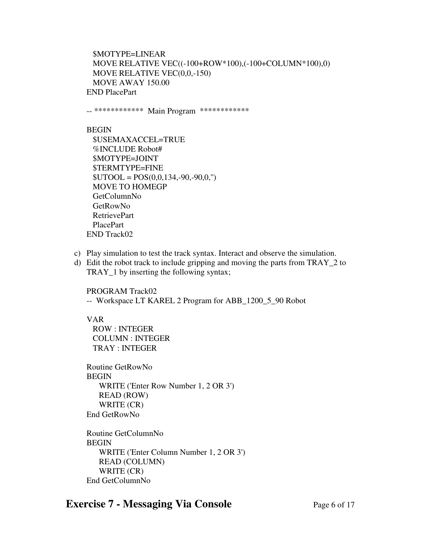\$MOTYPE=LINEAR MOVE RELATIVE VEC((-100+ROW\*100),(-100+COLUMN\*100),0) MOVE RELATIVE VEC(0,0,-150) MOVE AWAY 150.00 END PlacePart

-- \*\*\*\*\*\*\*\*\*\*\*\* Main Program \*\*\*\*\*\*\*\*\*\*\*\*

#### BEGIN

 \$USEMAXACCEL=TRUE %INCLUDE Robot# \$MOTYPE=JOINT \$TERMTYPE=FINE  $$UTOOL = POS(0,0,134,-90,-90,0,")$  MOVE TO HOMEGP GetColumnNo GetRowNo RetrievePart PlacePart END Track02

- c) Play simulation to test the track syntax. Interact and observe the simulation.
- d) Edit the robot track to include gripping and moving the parts from TRAY\_2 to TRAY\_1 by inserting the following syntax;

PROGRAM Track02

-- Workspace LT KAREL 2 Program for ABB\_1200\_5\_90 Robot

VAR

 ROW : INTEGER COLUMN : INTEGER TRAY : INTEGER

Routine GetRowNo BEGIN WRITE ('Enter Row Number 1, 2 OR 3') READ (ROW) WRITE (CR) End GetRowNo

Routine GetColumnNo BEGIN WRITE ('Enter Column Number 1, 2 OR 3') READ (COLUMN) WRITE (CR) End GetColumnNo

## **Exercise 7 - Messaging Via Console** Page 6 of 17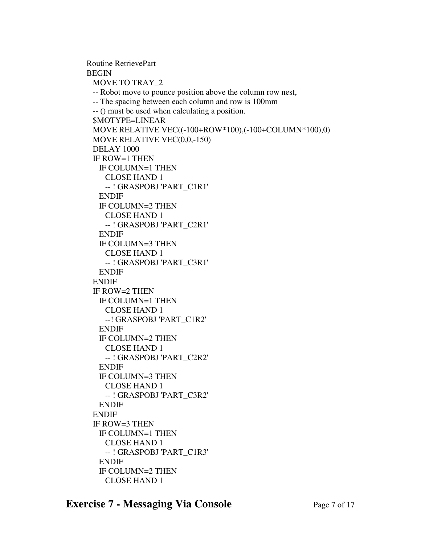Routine RetrievePart BEGIN MOVE TO TRAY\_2 -- Robot move to pounce position above the column row nest, -- The spacing between each column and row is 100mm -- () must be used when calculating a position. \$MOTYPE=LINEAR MOVE RELATIVE VEC((-100+ROW\*100),(-100+COLUMN\*100),0) MOVE RELATIVE VEC(0,0,-150) DELAY 1000 IF ROW=1 THEN IF COLUMN=1 THEN CLOSE HAND 1 -- ! GRASPOBJ 'PART\_C1R1' ENDIF IF COLUMN=2 THEN CLOSE HAND 1 -- ! GRASPOBJ 'PART\_C2R1' ENDIF IF COLUMN=3 THEN CLOSE HAND 1 -- ! GRASPOBJ 'PART\_C3R1' ENDIF ENDIF IF ROW=2 THEN IF COLUMN=1 THEN CLOSE HAND 1 --! GRASPOBJ 'PART\_C1R2' ENDIF IF COLUMN=2 THEN CLOSE HAND 1 -- ! GRASPOBJ 'PART\_C2R2' ENDIF IF COLUMN=3 THEN CLOSE HAND 1 -- ! GRASPOBJ 'PART\_C3R2' ENDIF ENDIF IF ROW=3 THEN IF COLUMN=1 THEN CLOSE HAND 1 -- ! GRASPOBJ 'PART\_C1R3' ENDIF IF COLUMN=2 THEN

CLOSE HAND 1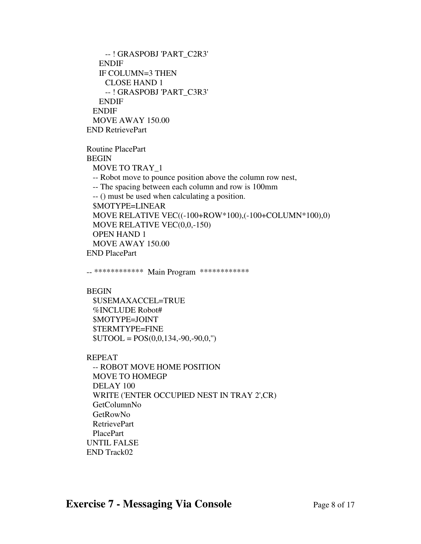-- ! GRASPOBJ 'PART\_C2R3' ENDIF IF COLUMN=3 THEN CLOSE HAND 1 -- ! GRASPOBJ 'PART\_C3R3' ENDIF ENDIF MOVE AWAY 150.00 END RetrievePart

Routine PlacePart **BEGIN**  MOVE TO TRAY\_1 -- Robot move to pounce position above the column row nest, -- The spacing between each column and row is 100mm -- () must be used when calculating a position. \$MOTYPE=LINEAR MOVE RELATIVE VEC((-100+ROW\*100),(-100+COLUMN\*100),0) MOVE RELATIVE VEC(0,0,-150) OPEN HAND 1 MOVE AWAY 150.00 END PlacePart

-- \*\*\*\*\*\*\*\*\*\*\*\* Main Program \*\*\*\*\*\*\*\*\*\*\*\*

BEGIN

 \$USEMAXACCEL=TRUE %INCLUDE Robot# \$MOTYPE=JOINT \$TERMTYPE=FINE  $$UTOOL = POS(0,0,134,-90,-90,0,")$ 

REPEAT

 -- ROBOT MOVE HOME POSITION MOVE TO HOMEGP DELAY 100 WRITE ('ENTER OCCUPIED NEST IN TRAY 2',CR) GetColumnNo GetRowNo RetrievePart PlacePart UNTIL FALSE END Track02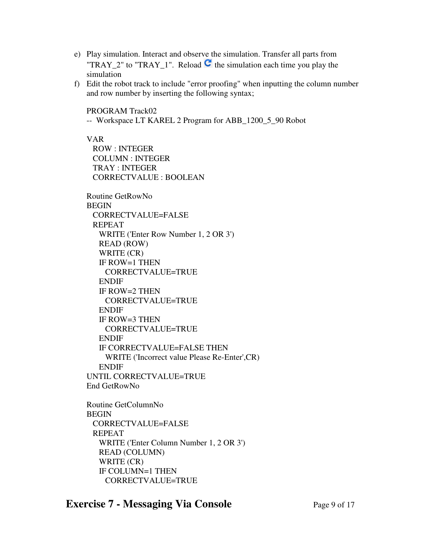- e) Play simulation. Interact and observe the simulation. Transfer all parts from "TRAY\_2" to "TRAY\_1". Reload  $\mathbb{C}$  the simulation each time you play the simulation
- f) Edit the robot track to include "error proofing" when inputting the column number and row number by inserting the following syntax;

PROGRAM Track02

-- Workspace LT KAREL 2 Program for ABB\_1200\_5\_90 Robot

VAR

 ROW : INTEGER COLUMN : INTEGER TRAY : INTEGER CORRECTVALUE : BOOLEAN

Routine GetRowNo BEGIN CORRECTVALUE=FALSE REPEAT WRITE ('Enter Row Number 1, 2 OR 3') READ (ROW) WRITE (CR) IF ROW=1 THEN CORRECTVALUE=TRUE ENDIF IF ROW=2 THEN CORRECTVALUE=TRUE ENDIF IF ROW=3 THEN CORRECTVALUE=TRUE ENDIF IF CORRECTVALUE=FALSE THEN WRITE ('Incorrect value Please Re-Enter',CR) ENDIF UNTIL CORRECTVALUE=TRUE End GetRowNo

Routine GetColumnNo **BEGIN**  CORRECTVALUE=FALSE REPEAT WRITE ('Enter Column Number 1, 2 OR 3') READ (COLUMN) WRITE (CR) IF COLUMN=1 THEN CORRECTVALUE=TRUE

## **Exercise 7 - Messaging Via Console** Page 9 of 17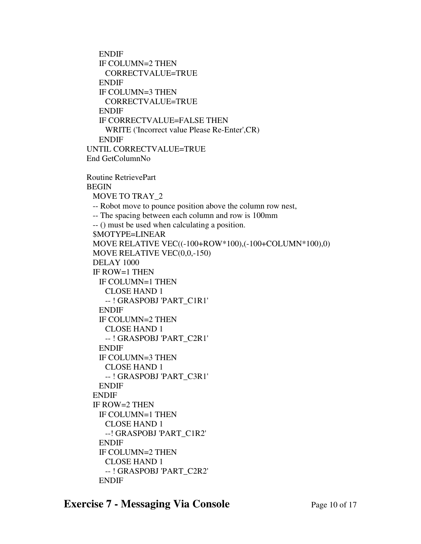ENDIF IF COLUMN=2 THEN CORRECTVALUE=TRUE ENDIF IF COLUMN=3 THEN CORRECTVALUE=TRUE ENDIF IF CORRECTVALUE=FALSE THEN WRITE ('Incorrect value Please Re-Enter',CR) ENDIF UNTIL CORRECTVALUE=TRUE End GetColumnNo Routine RetrievePart BEGIN MOVE TO TRAY\_2 -- Robot move to pounce position above the column row nest, -- The spacing between each column and row is 100mm -- () must be used when calculating a position. \$MOTYPE=LINEAR MOVE RELATIVE VEC((-100+ROW\*100),(-100+COLUMN\*100),0) MOVE RELATIVE VEC(0,0,-150) DELAY 1000 IF ROW=1 THEN IF COLUMN=1 THEN CLOSE HAND 1 -- ! GRASPOBJ 'PART\_C1R1' ENDIF IF COLUMN=2 THEN CLOSE HAND 1 -- ! GRASPOBJ 'PART\_C2R1' ENDIF IF COLUMN=3 THEN CLOSE HAND 1 -- ! GRASPOBJ 'PART\_C3R1' ENDIF ENDIF IF ROW=2 THEN IF COLUMN=1 THEN CLOSE HAND 1 --! GRASPOBJ 'PART\_C1R2' ENDIF IF COLUMN=2 THEN CLOSE HAND 1 -- ! GRASPOBJ 'PART\_C2R2' ENDIF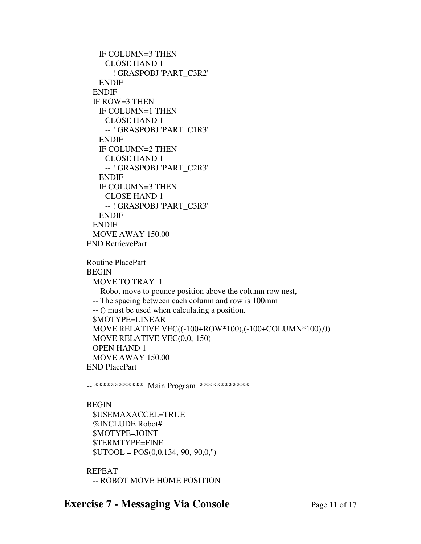IF COLUMN=3 THEN CLOSE HAND 1 -- ! GRASPOBJ 'PART\_C3R2' ENDIF ENDIF IF ROW=3 THEN IF COLUMN=1 THEN CLOSE HAND 1 -- ! GRASPOBJ 'PART\_C1R3' ENDIF IF COLUMN=2 THEN CLOSE HAND 1 -- ! GRASPOBJ 'PART\_C2R3' ENDIF IF COLUMN=3 THEN CLOSE HAND 1 -- ! GRASPOBJ 'PART\_C3R3' ENDIF ENDIF MOVE AWAY 150.00 END RetrievePart Routine PlacePart BEGIN MOVE TO TRAY\_1 -- Robot move to pounce position above the column row nest, -- The spacing between each column and row is 100mm -- () must be used when calculating a position. \$MOTYPE=LINEAR MOVE RELATIVE VEC((-100+ROW\*100),(-100+COLUMN\*100),0) MOVE RELATIVE VEC(0,0,-150) OPEN HAND 1 MOVE AWAY 150.00 END PlacePart

-- \*\*\*\*\*\*\*\*\*\*\*\* Main Program \*\*\*\*\*\*\*\*\*\*\*\*

#### **BEGIN**

 \$USEMAXACCEL=TRUE %INCLUDE Robot# \$MOTYPE=JOINT \$TERMTYPE=FINE  $$UTOOL = POS(0,0,134,-90,-90,0,")$ 

REPEAT -- ROBOT MOVE HOME POSITION

## **Exercise 7 - Messaging Via Console** Page 11 of 17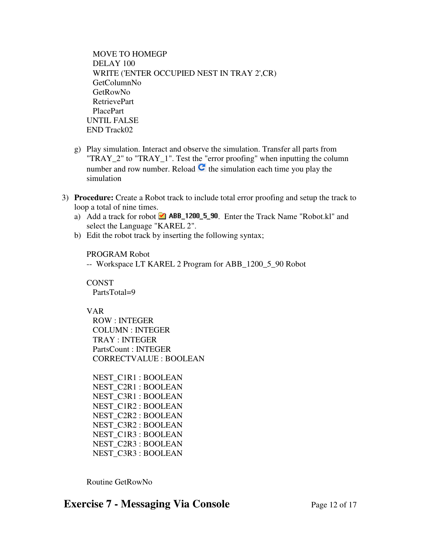MOVE TO HOMEGP DELAY 100 WRITE ('ENTER OCCUPIED NEST IN TRAY 2',CR) GetColumnNo GetRowNo RetrievePart PlacePart UNTIL FALSE END Track02

- g) Play simulation. Interact and observe the simulation. Transfer all parts from "TRAY\_2" to "TRAY\_1". Test the "error proofing" when inputting the column number and row number. Reload  $\mathbf C$  the simulation each time you play the simulation
- 3) **Procedure:** Create a Robot track to include total error proofing and setup the track to loop a total of nine times.
	- a) Add a track for robot  $\blacksquare$  ABB\_1200\_5\_90. Enter the Track Name "Robot.kl" and select the Language "KAREL 2".
	- b) Edit the robot track by inserting the following syntax;

PROGRAM Robot

-- Workspace LT KAREL 2 Program for ABB\_1200\_5\_90 Robot

CONST PartsTotal=9

VAR

 ROW : INTEGER COLUMN : INTEGER TRAY : INTEGER PartsCount : INTEGER CORRECTVALUE : BOOLEAN

 NEST\_C1R1 : BOOLEAN NEST\_C2R1 : BOOLEAN NEST\_C3R1 : BOOLEAN NEST\_C1R2 : BOOLEAN NEST\_C2R2 : BOOLEAN NEST\_C3R2 : BOOLEAN NEST\_C1R3 : BOOLEAN NEST\_C2R3 : BOOLEAN NEST\_C3R3 : BOOLEAN

Routine GetRowNo

## **Exercise 7 - Messaging Via Console** Page 12 of 17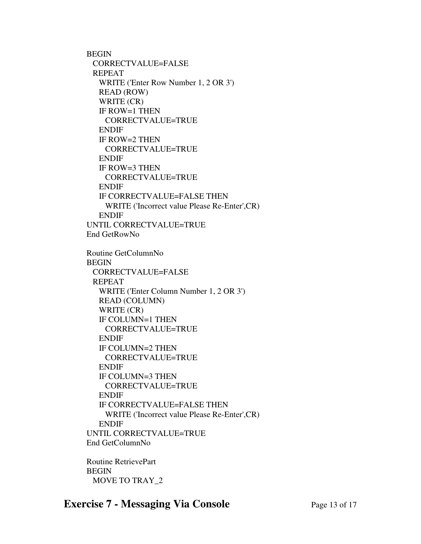BEGIN CORRECTVALUE=FALSE REPEAT WRITE ('Enter Row Number 1, 2 OR 3') READ (ROW) WRITE (CR) IF ROW=1 THEN CORRECTVALUE=TRUE ENDIF IF ROW=2 THEN CORRECTVALUE=TRUE ENDIF IF ROW=3 THEN CORRECTVALUE=TRUE ENDIF IF CORRECTVALUE=FALSE THEN WRITE ('Incorrect value Please Re-Enter',CR) ENDIF UNTIL CORRECTVALUE=TRUE End GetRowNo Routine GetColumnNo BEGIN CORRECTVALUE=FALSE REPEAT WRITE ('Enter Column Number 1, 2 OR 3') READ (COLUMN) WRITE (CR) IF COLUMN=1 THEN CORRECTVALUE=TRUE ENDIF IF COLUMN=2 THEN CORRECTVALUE=TRUE ENDIF IF COLUMN=3 THEN CORRECTVALUE=TRUE ENDIF IF CORRECTVALUE=FALSE THEN WRITE ('Incorrect value Please Re-Enter',CR) ENDIF UNTIL CORRECTVALUE=TRUE End GetColumnNo

Routine RetrievePart BEGIN MOVE TO TRAY\_2

## **Exercise 7 - Messaging Via Console** Page 13 of 17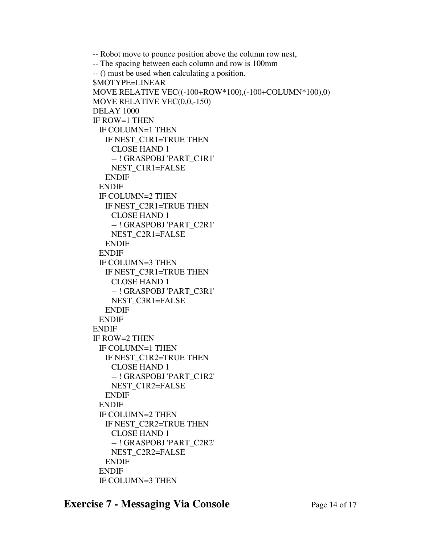```
 -- Robot move to pounce position above the column row nest, 
-- The spacing between each column and row is 100mm 
-- () must be used when calculating a position. 
$MOTYPE=LINEAR 
MOVE RELATIVE VEC((-100+ROW*100),(-100+COLUMN*100),0) 
MOVE RELATIVE VEC(0,0,-150) 
DELAY 1000 
IF ROW=1 THEN 
 IF COLUMN=1 THEN 
   IF NEST_C1R1=TRUE THEN 
    CLOSE HAND 1 
    -- ! GRASPOBJ 'PART_C1R1' 
    NEST_C1R1=FALSE 
   ENDIF 
 ENDIF 
 IF COLUMN=2 THEN 
   IF NEST_C2R1=TRUE THEN 
    CLOSE HAND 1 
    -- ! GRASPOBJ 'PART_C2R1' 
    NEST_C2R1=FALSE 
   ENDIF 
 ENDIF 
 IF COLUMN=3 THEN 
   IF NEST_C3R1=TRUE THEN 
    CLOSE HAND 1 
    -- ! GRASPOBJ 'PART_C3R1' 
    NEST_C3R1=FALSE 
   ENDIF 
 ENDIF 
ENDIF 
IF ROW=2 THEN 
 IF COLUMN=1 THEN 
   IF NEST_C1R2=TRUE THEN 
    CLOSE HAND 1 
    -- ! GRASPOBJ 'PART_C1R2' 
    NEST_C1R2=FALSE 
   ENDIF 
 ENDIF 
 IF COLUMN=2 THEN 
   IF NEST_C2R2=TRUE THEN 
    CLOSE HAND 1 
    -- ! GRASPOBJ 'PART_C2R2' 
    NEST_C2R2=FALSE 
   ENDIF 
 ENDIF 
 IF COLUMN=3 THEN
```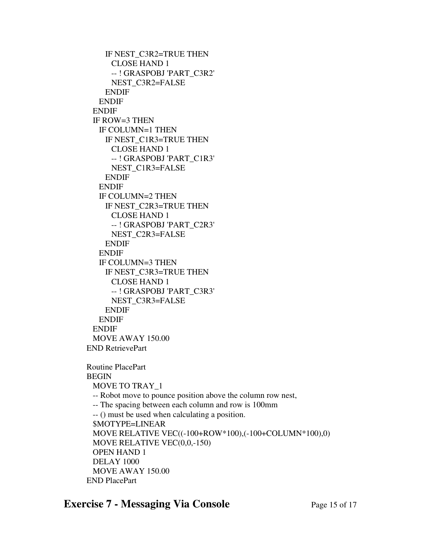IF NEST\_C3R2=TRUE THEN CLOSE HAND 1 -- ! GRASPOBJ 'PART\_C3R2' NEST\_C3R2=FALSE ENDIF ENDIF ENDIF IF ROW=3 THEN IF COLUMN=1 THEN IF NEST\_C1R3=TRUE THEN CLOSE HAND 1 -- ! GRASPOBJ 'PART\_C1R3' NEST\_C1R3=FALSE ENDIF ENDIF IF COLUMN=2 THEN IF NEST\_C2R3=TRUE THEN CLOSE HAND 1 -- ! GRASPOBJ 'PART\_C2R3' NEST\_C2R3=FALSE ENDIF ENDIF IF COLUMN=3 THEN IF NEST\_C3R3=TRUE THEN CLOSE HAND 1 -- ! GRASPOBJ 'PART\_C3R3' NEST\_C3R3=FALSE ENDIF ENDIF ENDIF MOVE AWAY 150.00 END RetrievePart Routine PlacePart BEGIN MOVE TO TRAY\_1 -- Robot move to pounce position above the column row nest, -- The spacing between each column and row is 100mm -- () must be used when calculating a position. \$MOTYPE=LINEAR MOVE RELATIVE VEC((-100+ROW\*100),(-100+COLUMN\*100),0) MOVE RELATIVE VEC(0,0,-150) OPEN HAND 1 DELAY 1000 MOVE AWAY 150.00 END PlacePart

## **Exercise 7 - Messaging Via Console** Page 15 of 17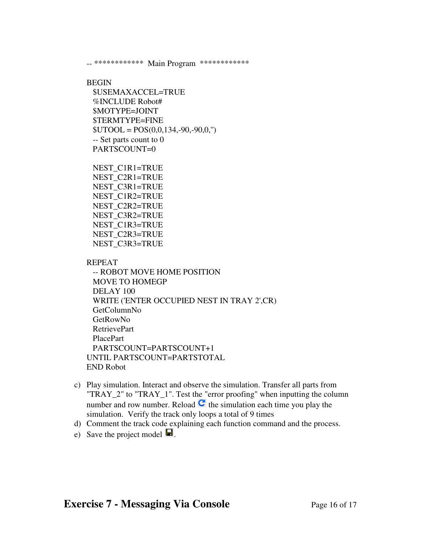-- \*\*\*\*\*\*\*\*\*\*\*\* Main Program \*\*\*\*\*\*\*\*\*\*\*\*

#### BEGIN

 \$USEMAXACCEL=TRUE %INCLUDE Robot# \$MOTYPE=JOINT \$TERMTYPE=FINE  $$UTOOL = POS(0,0,134,-90,-90,0,")$  -- Set parts count to 0 PARTSCOUNT=0

 NEST\_C1R1=TRUE NEST\_C2R1=TRUE NEST\_C3R1=TRUE NEST\_C1R2=TRUE NEST\_C2R2=TRUE NEST\_C3R2=TRUE NEST\_C1R3=TRUE NEST\_C2R3=TRUE NEST\_C3R3=TRUE

REPEAT

 -- ROBOT MOVE HOME POSITION MOVE TO HOMEGP DELAY 100 WRITE ('ENTER OCCUPIED NEST IN TRAY 2',CR) GetColumnNo GetRowNo RetrievePart PlacePart PARTSCOUNT=PARTSCOUNT+1 UNTIL PARTSCOUNT=PARTSTOTAL END Robot

- c) Play simulation. Interact and observe the simulation. Transfer all parts from "TRAY\_2" to "TRAY\_1". Test the "error proofing" when inputting the column number and row number. Reload  $\mathbf{C}$  the simulation each time you play the simulation. Verify the track only loops a total of 9 times
- d) Comment the track code explaining each function command and the process.
- e) Save the project model  $\blacksquare$ .